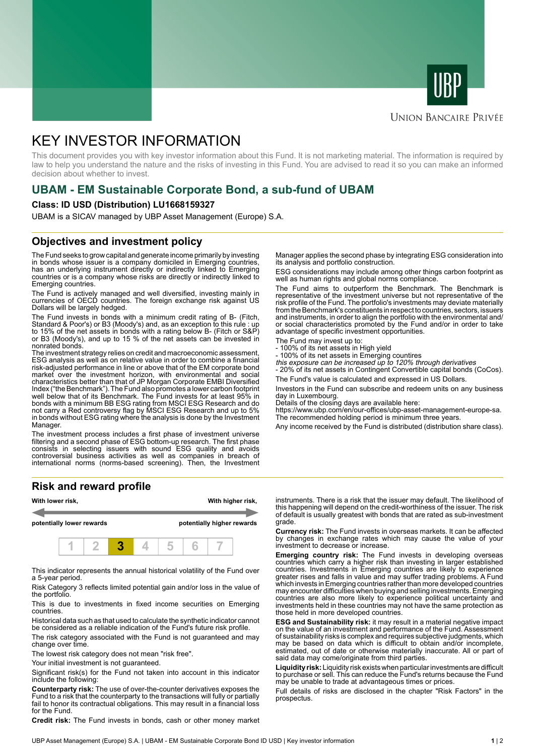



#### **UNION BANCAIRE PRIVÉE**

# KEY INVESTOR INFORMATION

This document provides you with key investor information about this Fund. It is not marketing material. The information is required by law to help you understand the nature and the risks of investing in this Fund. You are advised to read it so you can make an informed decision about whether to invest.

## **UBAM - EM Sustainable Corporate Bond, a sub-fund of UBAM**

#### **Class: ID USD (Distribution) LU1668159327**

UBAM is a SICAV managed by UBP Asset Management (Europe) S.A.

### **Objectives and investment policy**

The Fund seeks to grow capital and generate income primarily by investing in bonds whose issuer is a company domiciled in Emerging countries, has an underlying instrument directly or indirectly linked to Emerging countries or is a company whose risks are directly or indirectly linked to Emerging countries.

The Fund is actively managed and well diversified, investing mainly in currencies of OECD countries. The foreign exchange risk against US Dollars will be largely hedged.

The Fund invests in bonds with a minimum credit rating of B- (Fitch, Standard & Poor's) or B3 (Moody's) and, as an exception to this rule : up to 15% of the net assets in bonds with a rating below B- (Fitch or S&P) or B3 (Moody's), and up to 15 % of the net assets can be invested in nonrated bonds.

The investment strategy relies on credit and macroeconomic assessment, ESG analysis as well as on relative value in order to combine a financial risk-adjusted performance in line or above that of the EM corporate bond market over the investment horizon, with environmental and social characteristics better than that of JP Morgan Corporate EMBI Diversified Index ("the Benchmark"). The Fund also promotes a lower carbon footprint well below that of its Benchmark. The Fund invests for at least 95% in bonds with a minimum BB ESG rating from MSCI ESG Research and do not carry a Red controversy flag by MSCI ESG Research and up to 5% in bonds without ESG rating where the analysis is done by the Investment Manager.

The investment process includes a first phase of investment universe filtering and a second phase of ESG bottom-up research. The first phase consists in selecting issuers with sound ESG quality and avoids controversial business activities as well as companies in breach of international norms (norms-based screening). Then, the Investment

#### **Risk and reward profile**



This indicator represents the annual historical volatility of the Fund over a 5-year period.

Risk Category 3 reflects limited potential gain and/or loss in the value of the portfolio.

This is due to investments in fixed income securities on Emerging countries.

Historical data such as that used to calculate the synthetic indicator cannot be considered as a reliable indication of the Fund's future risk profile.

The risk category associated with the Fund is not guaranteed and may change over time.

The lowest risk category does not mean "risk free".

Your initial investment is not guaranteed.

Significant risk(s) for the Fund not taken into account in this indicator include the following:

**Counterparty risk:** The use of over-the-counter derivatives exposes the Fund to a risk that the counterparty to the transactions will fully or partially fail to honor its contractual obligations. This may result in a financial loss for the Fund.

**Credit risk:** The Fund invests in bonds, cash or other money market

Manager applies the second phase by integrating ESG consideration into its analysis and portfolio construction.

ESG considerations may include among other things carbon footprint as well as human rights and global norms compliance.

The Fund aims to outperform the Benchmark. The Benchmark is representative of the investment universe but not representative of the risk profile of the Fund. The portfolio's investments may deviate materially from the Benchmark's constituents in respect to countries, sectors, issuers and instruments, in order to align the portfolio with the environmental and/ or social characteristics promoted by the Fund and/or in order to take advantage of specific investment opportunities.

- The Fund may invest up to:
- 100% of its net assets in High yield
- 100% of its net assets in Emerging countires this exposure can be increased up to 120% through derivatives

- 20% of its net assets in Contingent Convertible capital bonds (CoCos).

The Fund's value is calculated and expressed in US Dollars.

Investors in the Fund can subscribe and redeem units on any business day in Luxembourg.

Details of the closing days are available here:

https://www.ubp.com/en/our-offices/ubp-asset-management-europe-sa. The recommended holding period is minimum three years.

Any income received by the Fund is distributed (distribution share class).

instruments. There is a risk that the issuer may default. The likelihood of this happening will depend on the credit-worthiness of the issuer. The risk of default is usually greatest with bonds that are rated as sub-investment grade.

**Currency risk:** The Fund invests in overseas markets. It can be affected by changes in exchange rates which may cause the value of your investment to decrease or increase.

**Emerging country risk:** The Fund invests in developing overseas countries which carry a higher risk than investing in larger established countries. Investments in Emerging countries are likely to experience greater rises and falls in value and may suffer trading problems. A Fund which invests in Emerging countries rather than more developed countries may encounter difficulties when buying and selling investments. Emerging countries are also more likely to experience political uncertainty and investments held in these countries may not have the same protection as those held in more developed countries.

**ESG and Sustainability risk:** it may result in a material negative impact on the value of an investment and performance of the Fund. Assessment of sustainability risks is complex and requires subjective judgments, which may be based on data which is difficult to obtain and/or incomplete, estimated, out of date or otherwise materially inaccurate. All or part of said data may come/originate from third parties.

**Liquidity risk:** Liquidity risk exists when particular investments are difficult to purchase or sell. This can reduce the Fund's returns because the Fund may be unable to trade at advantageous times or prices.

Full details of risks are disclosed in the chapter "Risk Factors" in the prospectus.